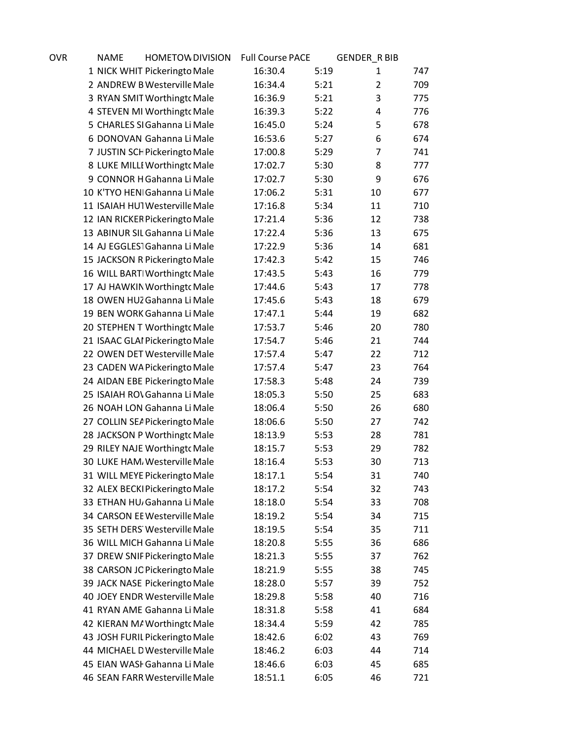| OVR | <b>NAME</b> | <b>HOMETOW DIVISION</b>                                        | <b>Full Course PACE</b> |              | <b>GENDER_R BIB</b> |            |
|-----|-------------|----------------------------------------------------------------|-------------------------|--------------|---------------------|------------|
|     |             | 1 NICK WHIT Pickeringto Male                                   | 16:30.4                 | 5:19         | 1                   | 747        |
|     |             | 2 ANDREW B Westerville Male                                    | 16:34.4                 | 5:21         | $\overline{2}$      | 709        |
|     |             | 3 RYAN SMIT Worthingto Male                                    | 16:36.9                 | 5:21         | 3                   | 775        |
|     |             | 4 STEVEN MI Worthingto Male                                    | 16:39.3                 | 5:22         | 4                   | 776        |
|     |             | 5 CHARLES SI Gahanna Li Male                                   | 16:45.0                 | 5:24         | 5                   | 678        |
|     |             | 6 DONOVAN Gahanna Li Male                                      | 16:53.6                 | 5:27         | 6                   | 674        |
|     |             | 7 JUSTIN SCH Pickeringto Male                                  | 17:00.8                 | 5:29         | $\overline{7}$      | 741        |
|     |             | 8 LUKE MILLI Worthingt Male                                    | 17:02.7                 | 5:30         | 8                   | 777        |
|     |             | 9 CONNOR H Gahanna Li Male                                     | 17:02.7                 | 5:30         | 9                   | 676        |
|     |             | 10 K'TYO HEN  Gahanna Li Male                                  | 17:06.2                 | 5:31         | 10                  | 677        |
|     |             | 11 ISAIAH HUTWesterville Male                                  | 17:16.8                 | 5:34         | 11                  | 710        |
|     |             | 12 IAN RICKER Pickeringto Male                                 | 17:21.4                 | 5:36         | 12                  | 738        |
|     |             | 13 ABINUR SIL Gahanna Li Male                                  | 17:22.4                 | 5:36         | 13                  | 675        |
|     |             | 14 AJ EGGLES1Gahanna Li Male                                   | 17:22.9                 | 5:36         | 14                  | 681        |
|     |             | 15 JACKSON R Pickeringto Male                                  | 17:42.3                 | 5:42         | 15                  | 746        |
|     |             | 16 WILL BART Worthingt cMale                                   | 17:43.5                 | 5:43         | 16                  | 779        |
|     |             | 17 AJ HAWKIN Worthingt cMale                                   | 17:44.6                 | 5:43         | 17                  | 778        |
|     |             | 18 OWEN HUZ Gahanna Li Male                                    | 17:45.6                 | 5:43         | 18                  | 679        |
|     |             | 19 BEN WORK Gahanna Li Male                                    | 17:47.1                 | 5:44         | 19                  | 682        |
|     |             | 20 STEPHEN T Worthingt Male                                    | 17:53.7                 | 5:46         | 20                  | 780        |
|     |             | 21 ISAAC GLAI Pickeringto Male                                 | 17:54.7                 | 5:46         | 21                  | 744        |
|     |             | 22 OWEN DET Westerville Male                                   | 17:57.4                 | 5:47         | 22                  | 712        |
|     |             | 23 CADEN WA Pickeringto Male                                   | 17:57.4                 | 5:47         | 23                  | 764        |
|     |             | 24 AIDAN EBE Pickeringto Male                                  | 17:58.3                 | 5:48         | 24                  | 739        |
|     |             | 25 ISAIAH ROV Gahanna Li Male                                  | 18:05.3                 | 5:50         | 25                  | 683        |
|     |             | 26 NOAH LON Gahanna Li Male                                    | 18:06.4                 | 5:50         | 26                  | 680        |
|     |             | 27 COLLIN SEA Pickeringto Male                                 | 18:06.6                 | 5:50         | 27                  | 742        |
|     |             | 28 JACKSON P Worthingt cMale                                   | 18:13.9                 | 5:53         | 28                  | 781        |
|     |             | 29 RILEY NAJE Worthingt Male                                   | 18:15.7                 | 5:53         | 29                  | 782        |
|     |             | 30 LUKE HAM, Westerville Male                                  | 18:16.4                 | 5:53         | 30                  | 713        |
|     |             | 31 WILL MEYE Pickeringto Male                                  | 18:17.1                 | 5:54         | 31                  | 740        |
|     |             | 32 ALEX BECKI Pickeringto Male                                 | 18:17.2                 | 5:54         | 32                  | 743        |
|     |             | 33 ETHAN HU <sub>/</sub> Gahanna Li Male                       | 18:18.0                 | 5:54         | 33                  | 708        |
|     |             | 34 CARSON EE Westerville Male                                  | 18:19.2                 | 5:54         | 34                  | 715        |
|     |             | 35 SETH DERS Westerville Male<br>36 WILL MICH Gahanna Li Male  | 18:19.5                 | 5:54         | 35                  | 711        |
|     |             |                                                                | 18:20.8                 | 5:55         | 36<br>37            | 686<br>762 |
|     |             | 37 DREW SNIF Pickeringto Male<br>38 CARSON JC Pickeringto Male | 18:21.3                 | 5:55<br>5:55 | 38                  | 745        |
|     |             |                                                                | 18:21.9                 |              | 39                  | 752        |
|     |             | 39 JACK NASE Pickeringto Male<br>40 JOEY ENDR Westerville Male | 18:28.0<br>18:29.8      | 5:57<br>5:58 | 40                  | 716        |
|     |             | 41 RYAN AME Gahanna Li Male                                    | 18:31.8                 | 5:58         | 41                  | 684        |
|     |             | 42 KIERAN M/ Worthingt Male                                    |                         |              | 42                  | 785        |
|     |             | 43 JOSH FURIL Pickeringto Male                                 | 18:34.4<br>18:42.6      | 5:59<br>6:02 | 43                  | 769        |
|     |             | 44 MICHAEL D Westerville Male                                  | 18:46.2                 | 6:03         | 44                  | 714        |
|     |             | 45 EIAN WASI Gahanna Li Male                                   | 18:46.6                 | 6:03         | 45                  | 685        |
|     |             | 46 SEAN FARR Westerville Male                                  | 18:51.1                 | 6:05         | 46                  | 721        |
|     |             |                                                                |                         |              |                     |            |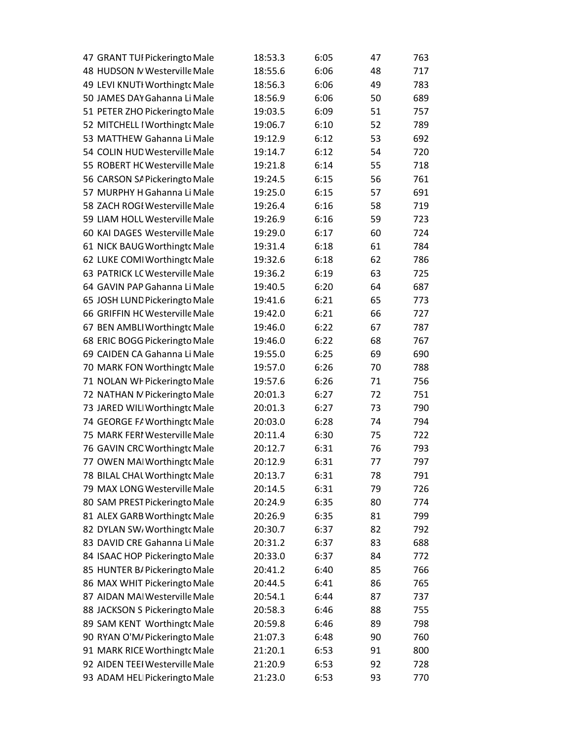| 47 GRANT TUI Pickeringto Male  | 18:53.3 | 6:05 | 47 | 763 |
|--------------------------------|---------|------|----|-----|
| 48 HUDSON IV Westerville Male  | 18:55.6 | 6:06 | 48 | 717 |
| 49 LEVI KNUTI Worthingt cMale  | 18:56.3 | 6:06 | 49 | 783 |
| 50 JAMES DAY Gahanna Li Male   | 18:56.9 | 6:06 | 50 | 689 |
| 51 PETER ZHO Pickeringto Male  | 19:03.5 | 6:09 | 51 | 757 |
| 52 MITCHELL I Worthingt cMale  | 19:06.7 | 6:10 | 52 | 789 |
| 53 MATTHEW Gahanna Li Male     | 19:12.9 | 6:12 | 53 | 692 |
| 54 COLIN HUD Westerville Male  | 19:14.7 | 6:12 | 54 | 720 |
| 55 ROBERT HC Westerville Male  | 19:21.8 | 6:14 | 55 | 718 |
| 56 CARSON SA Pickeringto Male  | 19:24.5 | 6:15 | 56 | 761 |
| 57 MURPHY H Gahanna Li Male    | 19:25.0 | 6:15 | 57 | 691 |
| 58 ZACH ROGI Westerville Male  | 19:26.4 | 6:16 | 58 | 719 |
| 59 LIAM HOLL Westerville Male  | 19:26.9 | 6:16 | 59 | 723 |
| 60 KAI DAGES Westerville Male  | 19:29.0 | 6:17 | 60 | 724 |
| 61 NICK BAUG Worthingt cMale   | 19:31.4 | 6:18 | 61 | 784 |
| 62 LUKE COMI Worthingt cMale   | 19:32.6 | 6:18 | 62 | 786 |
| 63 PATRICK LC Westerville Male | 19:36.2 | 6:19 | 63 | 725 |
| 64 GAVIN PAP Gahanna Li Male   | 19:40.5 | 6:20 | 64 | 687 |
| 65 JOSH LUND Pickeringto Male  | 19:41.6 | 6:21 | 65 | 773 |
| 66 GRIFFIN HC Westerville Male | 19:42.0 | 6:21 | 66 | 727 |
| 67 BEN AMBLI Worthingt cMale   | 19:46.0 | 6:22 | 67 | 787 |
| 68 ERIC BOGG Pickeringto Male  | 19:46.0 | 6:22 | 68 | 767 |
| 69 CAIDEN CA Gahanna Li Male   | 19:55.0 | 6:25 | 69 | 690 |
| 70 MARK FON Worthingt cMale    | 19:57.0 | 6:26 | 70 | 788 |
| 71 NOLAN WI Pickeringto Male   | 19:57.6 | 6:26 | 71 | 756 |
| 72 NATHAN M Pickeringto Male   | 20:01.3 | 6:27 | 72 | 751 |
| 73 JARED WILI Worthingt  Male  | 20:01.3 | 6:27 | 73 | 790 |
| 74 GEORGE FA Worthingt cMale   | 20:03.0 | 6:28 | 74 | 794 |
| 75 MARK FERI Westerville Male  | 20:11.4 | 6:30 | 75 | 722 |
| 76 GAVIN CRC Worthingt cMale   | 20:12.7 | 6:31 | 76 | 793 |
| 77 OWEN MAI Worthingt cMale    | 20:12.9 | 6:31 | 77 | 797 |
| 78 BILAL CHAL Worthingto Male  | 20:13.7 | 6:31 | 78 | 791 |
| 79 MAX LONG Westerville Male   | 20:14.5 | 6:31 | 79 | 726 |
| 80 SAM PREST Pickeringto Male  | 20:24.9 | 6:35 | 80 | 774 |
| 81 ALEX GARB Worthingto Male   | 20:26.9 | 6:35 | 81 | 799 |
| 82 DYLAN SW, Worthingto Male   | 20:30.7 | 6:37 | 82 | 792 |
| 83 DAVID CRE Gahanna Li Male   | 20:31.2 | 6:37 | 83 | 688 |
| 84 ISAAC HOP Pickeringto Male  | 20:33.0 | 6:37 | 84 | 772 |
| 85 HUNTER B/ Pickeringto Male  | 20:41.2 | 6:40 | 85 | 766 |
| 86 MAX WHIT Pickeringto Male   | 20:44.5 | 6:41 | 86 | 765 |
| 87 AIDAN MAI Westerville Male  | 20:54.1 | 6:44 | 87 | 737 |
| 88 JACKSON S Pickeringto Male  | 20:58.3 | 6:46 | 88 | 755 |
| 89 SAM KENT Worthingt Male     | 20:59.8 | 6:46 | 89 | 798 |
| 90 RYAN O'M/ Pickeringto Male  | 21:07.3 | 6:48 | 90 | 760 |
| 91 MARK RICE Worthingt cMale   | 21:20.1 | 6:53 | 91 | 800 |
| 92 AIDEN TEEI Westerville Male | 21:20.9 | 6:53 | 92 | 728 |
| 93 ADAM HEL Pickeringto Male   | 21:23.0 | 6:53 | 93 | 770 |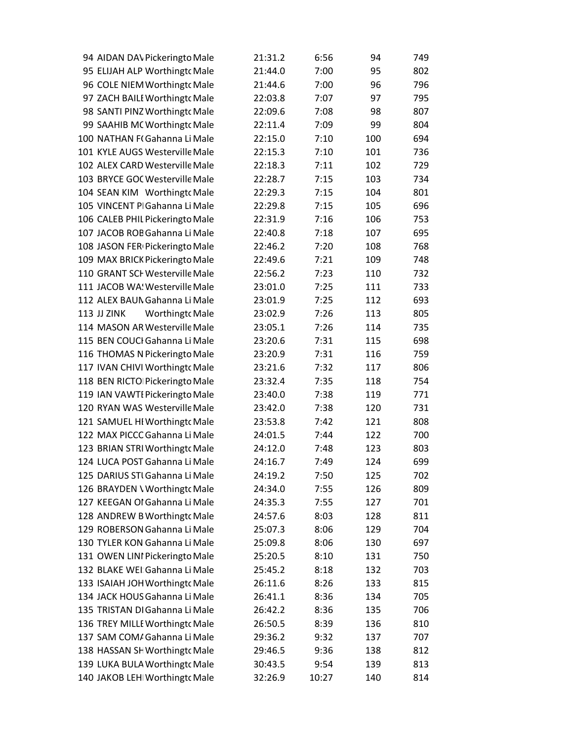| 94 AIDAN DAV Pickeringto Male                | 21:31.2 | 6:56  | 94  | 749 |
|----------------------------------------------|---------|-------|-----|-----|
| 95 ELIJAH ALP Worthingto Male                | 21:44.0 | 7:00  | 95  | 802 |
| 96 COLE NIEM Worthingto Male                 | 21:44.6 | 7:00  | 96  | 796 |
| 97 ZACH BAILI Worthingt cMale                | 22:03.8 | 7:07  | 97  | 795 |
| 98 SANTI PINZ Worthingto Male                | 22:09.6 | 7:08  | 98  | 807 |
| 99 SAAHIB MC Worthingto Male                 | 22:11.4 | 7:09  | 99  | 804 |
| 100 NATHAN F(Gahanna Li Male                 | 22:15.0 | 7:10  | 100 | 694 |
| 101 KYLE AUGS Westerville Male               | 22:15.3 | 7:10  | 101 | 736 |
| 102 ALEX CARD Westerville Male               | 22:18.3 | 7:11  | 102 | 729 |
| 103 BRYCE GOC Westerville Male               | 22:28.7 | 7:15  | 103 | 734 |
| 104 SEAN KIM Worthingt cMale                 | 22:29.3 | 7:15  | 104 | 801 |
| 105 VINCENT PIGahanna Li Male                | 22:29.8 | 7:15  | 105 | 696 |
| 106 CALEB PHIL Pickeringto Male              | 22:31.9 | 7:16  | 106 | 753 |
| 107 JACOB ROB Gahanna Li Male                | 22:40.8 | 7:18  | 107 | 695 |
| 108 JASON FER Pickeringto Male               | 22:46.2 | 7:20  | 108 | 768 |
| 109 MAX BRICK Pickeringto Male               | 22:49.6 | 7:21  | 109 | 748 |
| 110 GRANT SCI Westerville Male               | 22:56.2 | 7:23  | 110 | 732 |
| 111 JACOB WA! Westerville Male               | 23:01.0 | 7:25  | 111 | 733 |
| 112 ALEX BAUN Gahanna Li Male                | 23:01.9 | 7:25  | 112 | 693 |
| <b>113 JJ ZINK</b><br><b>Worthingto Male</b> | 23:02.9 | 7:26  | 113 | 805 |
| 114 MASON AR Westerville Male                | 23:05.1 | 7:26  | 114 | 735 |
| 115 BEN COUCI Gahanna Li Male                | 23:20.6 | 7:31  | 115 | 698 |
| 116 THOMAS N Pickeringto Male                | 23:20.9 | 7:31  | 116 | 759 |
| 117 IVAN CHIVI Worthingto Male               | 23:21.6 | 7:32  | 117 | 806 |
| 118 BEN RICTO Pickeringto Male               | 23:32.4 | 7:35  | 118 | 754 |
| 119 IAN VAWTI Pickeringto Male               | 23:40.0 | 7:38  | 119 | 771 |
| 120 RYAN WAS Westerville Male                | 23:42.0 | 7:38  | 120 | 731 |
| 121 SAMUEL HI Worthingt cMale                | 23:53.8 | 7:42  | 121 | 808 |
| 122 MAX PICCC Gahanna Li Male                | 24:01.5 | 7:44  | 122 | 700 |
| 123 BRIAN STRI Worthingto Male               | 24:12.0 | 7:48  | 123 | 803 |
| 124 LUCA POST Gahanna Li Male                | 24:16.7 | 7:49  | 124 | 699 |
| 125 DARIUS STI Gahanna Li Male               | 24:19.2 | 7:50  | 125 | 702 |
| 126 BRAYDEN \ Worthingto Male                | 24:34.0 | 7:55  | 126 | 809 |
| 127 KEEGAN OI Gahanna Li Male                | 24:35.3 | 7:55  | 127 | 701 |
| 128 ANDREW B Worthingt cMale                 | 24:57.6 | 8:03  | 128 | 811 |
| 129 ROBERSON Gahanna Li Male                 | 25:07.3 | 8:06  | 129 | 704 |
| 130 TYLER KON Gahanna Li Male                | 25:09.8 | 8:06  | 130 | 697 |
| 131 OWEN LINI Pickeringto Male               | 25:20.5 | 8:10  | 131 | 750 |
| 132 BLAKE WEI Gahanna Li Male                | 25:45.2 | 8:18  | 132 | 703 |
| 133 ISAIAH JOH Worthingt cMale               | 26:11.6 | 8:26  | 133 | 815 |
| 134 JACK HOUS Gahanna Li Male                | 26:41.1 | 8:36  | 134 | 705 |
| 135 TRISTAN DI Gahanna Li Male               | 26:42.2 | 8:36  | 135 | 706 |
| 136 TREY MILLE Worthingt cMale               | 26:50.5 | 8:39  | 136 | 810 |
| 137 SAM COM/ Gahanna Li Male                 | 29:36.2 | 9:32  | 137 | 707 |
| 138 HASSAN SH Worthingt cMale                | 29:46.5 | 9:36  | 138 | 812 |
| 139 LUKA BULA Worthingt cMale                | 30:43.5 | 9:54  | 139 | 813 |
| 140 JAKOB LEH Worthingto Male                | 32:26.9 | 10:27 | 140 | 814 |